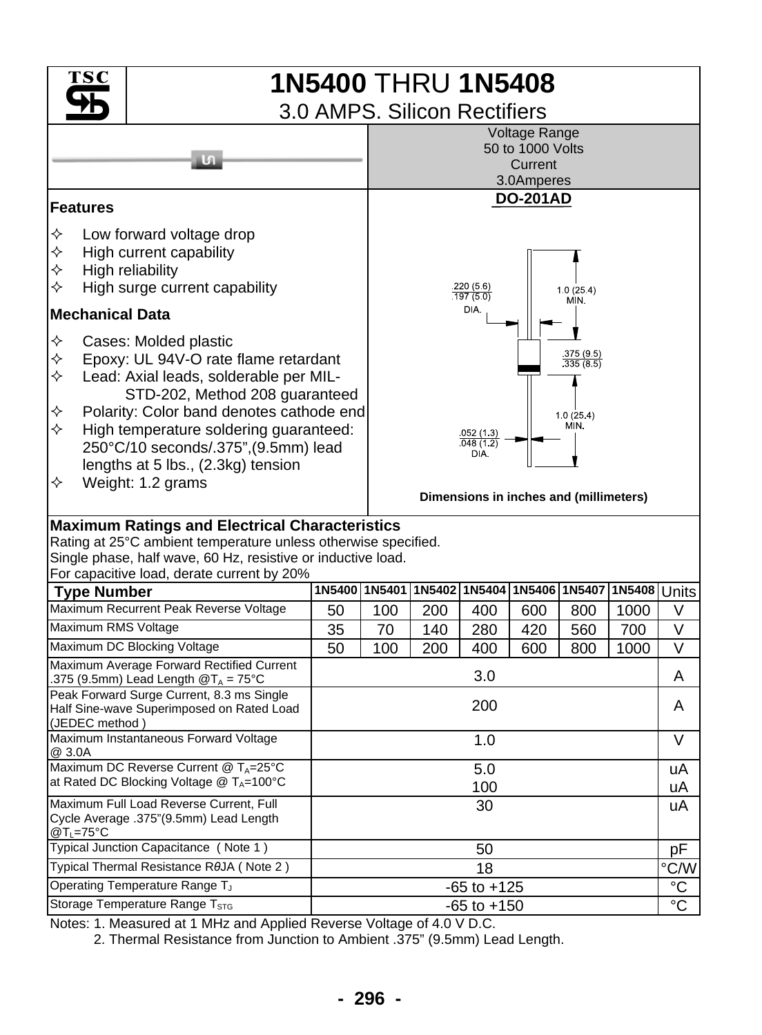

Notes: 1. Measured at 1 MHz and Applied Reverse Voltage of 4.0 V D.C.

2. Thermal Resistance from Junction to Ambient .375" (9.5mm) Lead Length.